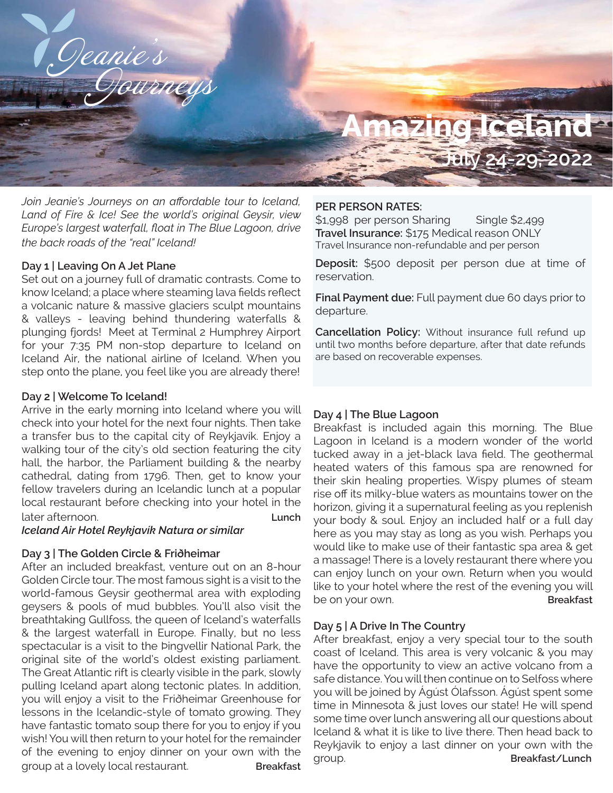

*Join Jeanie's Journeys on an affordable tour to Iceland, Land of Fire & Ice! See the world's original Geysir, view Europe's largest waterfall, float in The Blue Lagoon, drive the back roads of the "real" Iceland!*

### **Day 1 | Leaving On A Jet Plane**

Set out on a journey full of dramatic contrasts. Come to know Iceland; a place where steaming lava fields reflect a volcanic nature & massive glaciers sculpt mountains & valleys - leaving behind thundering waterfalls & plunging fjords! Meet at Terminal 2 Humphrey Airport for your 7:35 PM non-stop departure to Iceland on Iceland Air, the national airline of Iceland. When you step onto the plane, you feel like you are already there!

#### **Day 2 | Welcome To Iceland!**

Arrive in the early morning into Iceland where you will check into your hotel for the next four nights. Then take a transfer bus to the capital city of Reykjavík. Enjoy a walking tour of the city's old section featuring the city hall, the harbor, the Parliament building & the nearby cathedral, dating from 1796. Then, get to know your fellow travelers during an Icelandic lunch at a popular local restaurant before checking into your hotel in the later afternoon. **Lunch Lunch** 

*Iceland Air Hotel Reykjavík Natura or similar*

## **Day 3 | The Golden Circle & Friðheimar**

After an included breakfast, venture out on an 8-hour Golden Circle tour. The most famous sight is a visit to the world-famous Geysir geothermal area with exploding geysers & pools of mud bubbles. You'll also visit the breathtaking Gullfoss, the queen of Iceland's waterfalls & the largest waterfall in Europe. Finally, but no less spectacular is a visit to the Þingvellir National Park, the original site of the world's oldest existing parliament. The Great Atlantic rift is clearly visible in the park, slowly pulling Iceland apart along tectonic plates. In addition, you will enjoy a visit to the Friðheimar Greenhouse for lessons in the Icelandic-style of tomato growing. They have fantastic tomato soup there for you to enjoy if you wish! You will then return to your hotel for the remainder of the evening to enjoy dinner on your own with the group at a lovely local restaurant. **Breakfast**

### **PER PERSON RATES:**

\$1,998 per person Sharing Single \$2,499 **Travel Insurance:** \$175 Medical reason ONLY Travel Insurance non-refundable and per person

**Deposit:** \$500 deposit per person due at time of reservation.

**Final Payment due:** Full payment due 60 days prior to departure.

**Cancellation Policy:** Without insurance full refund up until two months before departure, after that date refunds are based on recoverable expenses.

### **Day 4 | The Blue Lagoon**

Breakfast is included again this morning. The Blue Lagoon in Iceland is a modern wonder of the world tucked away in a jet-black lava field. The geothermal heated waters of this famous spa are renowned for their skin healing properties. Wispy plumes of steam rise off its milky-blue waters as mountains tower on the horizon, giving it a supernatural feeling as you replenish your body & soul. Enjoy an included half or a full day here as you may stay as long as you wish. Perhaps you would like to make use of their fantastic spa area & get a massage! There is a lovely restaurant there where you can enjoy lunch on your own. Return when you would like to your hotel where the rest of the evening you will be on your own. **Breakfast** 

#### **Day 5 | A Drive In The Country**

After breakfast, enjoy a very special tour to the south coast of Iceland. This area is very volcanic & you may have the opportunity to view an active volcano from a safe distance. You will then continue on to Selfoss where you will be joined by Ágúst Ólafsson. Ágúst spent some time in Minnesota & just loves our state! He will spend some time over lunch answering all our questions about Iceland & what it is like to live there. Then head back to Reykjavik to enjoy a last dinner on your own with the group. **Breakfast/Lunch**